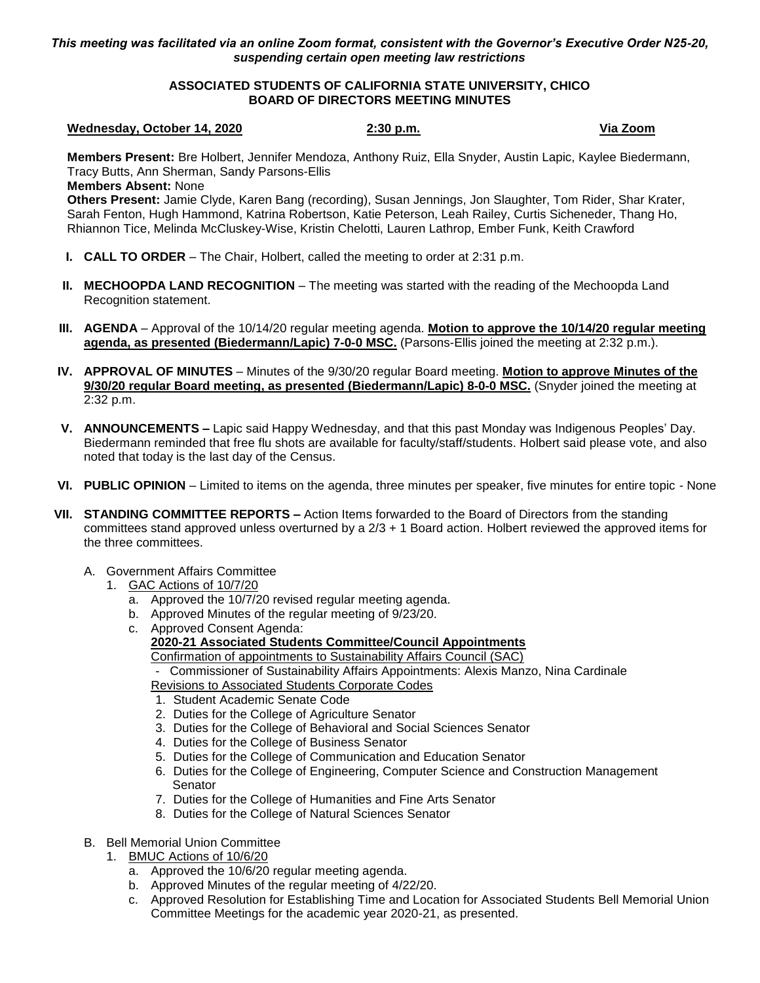*This meeting was facilitated via an online Zoom format, consistent with the Governor's Executive Order N25-20, suspending certain open meeting law restrictions*

### **ASSOCIATED STUDENTS OF CALIFORNIA STATE UNIVERSITY, CHICO BOARD OF DIRECTORS MEETING MINUTES**

### **Wednesday, October 14, 2020 2:30 p.m. Via Zoom**

**Members Present:** Bre Holbert, Jennifer Mendoza, Anthony Ruiz, Ella Snyder, Austin Lapic, Kaylee Biedermann, Tracy Butts, Ann Sherman, Sandy Parsons-Ellis

**Members Absent:** None

**Others Present:** Jamie Clyde, Karen Bang (recording), Susan Jennings, Jon Slaughter, Tom Rider, Shar Krater, Sarah Fenton, Hugh Hammond, Katrina Robertson, Katie Peterson, Leah Railey, Curtis Sicheneder, Thang Ho, Rhiannon Tice, Melinda McCluskey-Wise, Kristin Chelotti, Lauren Lathrop, Ember Funk, Keith Crawford

- **I. CALL TO ORDER** The Chair, Holbert, called the meeting to order at 2:31 p.m.
- **II. MECHOOPDA LAND RECOGNITION** The meeting was started with the reading of the Mechoopda Land Recognition statement.
- **III. AGENDA** Approval of the 10/14/20 regular meeting agenda. **Motion to approve the 10/14/20 regular meeting agenda, as presented (Biedermann/Lapic) 7-0-0 MSC.** (Parsons-Ellis joined the meeting at 2:32 p.m.).
- **IV. APPROVAL OF MINUTES** Minutes of the 9/30/20 regular Board meeting. **Motion to approve Minutes of the 9/30/20 regular Board meeting, as presented (Biedermann/Lapic) 8-0-0 MSC.** (Snyder joined the meeting at 2:32 p.m.
- **V. ANNOUNCEMENTS –** Lapic said Happy Wednesday, and that this past Monday was Indigenous Peoples' Day. Biedermann reminded that free flu shots are available for faculty/staff/students. Holbert said please vote, and also noted that today is the last day of the Census.
- **VI. PUBLIC OPINION** Limited to items on the agenda, three minutes per speaker, five minutes for entire topic None
- **VII. STANDING COMMITTEE REPORTS –** Action Items forwarded to the Board of Directors from the standing committees stand approved unless overturned by a 2/3 + 1 Board action. Holbert reviewed the approved items for the three committees.
	- A. Government Affairs Committee
		- 1. GAC Actions of 10/7/20
			- a. Approved the 10/7/20 revised regular meeting agenda.
			- b. Approved Minutes of the regular meeting of 9/23/20.
			- c. Approved Consent Agenda: **2020-21 Associated Students Committee/Council Appointments** Confirmation of appointments to Sustainability Affairs Council (SAC)

- Commissioner of Sustainability Affairs Appointments: Alexis Manzo, Nina Cardinale Revisions to Associated Students Corporate Codes

- 1. Student Academic Senate Code
- 2. Duties for the College of Agriculture Senator
- 3. Duties for the College of Behavioral and Social Sciences Senator
- 4. Duties for the College of Business Senator
- 5. Duties for the College of Communication and Education Senator
- 6. Duties for the College of Engineering, Computer Science and Construction Management **Senator**
- 7. Duties for the College of Humanities and Fine Arts Senator
- 8. Duties for the College of Natural Sciences Senator
- B. Bell Memorial Union Committee
	- 1. BMUC Actions of 10/6/20
		- a. Approved the 10/6/20 regular meeting agenda.
		- b. Approved Minutes of the regular meeting of 4/22/20.
		- c. Approved Resolution for Establishing Time and Location for Associated Students Bell Memorial Union Committee Meetings for the academic year 2020-21, as presented.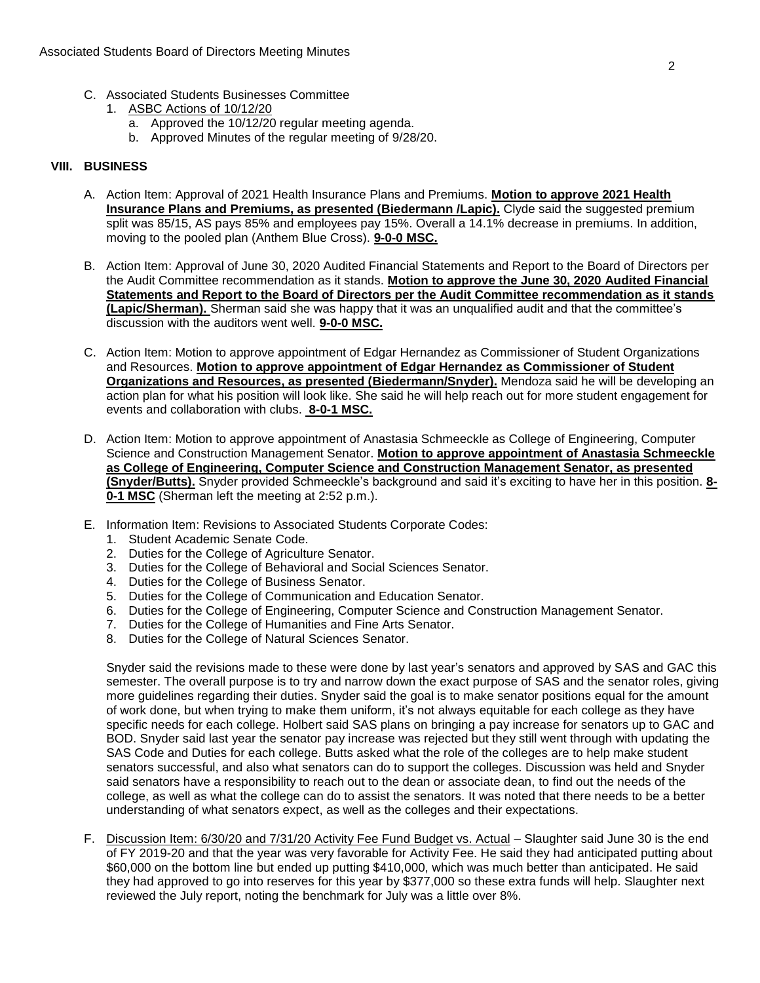- C. Associated Students Businesses Committee
	- 1. ASBC Actions of 10/12/20
		- a. Approved the 10/12/20 regular meeting agenda.
		- b. Approved Minutes of the regular meeting of 9/28/20.

# **VIII. BUSINESS**

- A. Action Item: Approval of 2021 Health Insurance Plans and Premiums. **Motion to approve 2021 Health Insurance Plans and Premiums, as presented (Biedermann /Lapic).** Clyde said the suggested premium split was 85/15, AS pays 85% and employees pay 15%. Overall a 14.1% decrease in premiums. In addition, moving to the pooled plan (Anthem Blue Cross). **9-0-0 MSC.**
- B. Action Item: Approval of June 30, 2020 Audited Financial Statements and Report to the Board of Directors per the Audit Committee recommendation as it stands. **Motion to approve the June 30, 2020 Audited Financial Statements and Report to the Board of Directors per the Audit Committee recommendation as it stands (Lapic/Sherman).** Sherman said she was happy that it was an unqualified audit and that the committee's discussion with the auditors went well. **9-0-0 MSC.**
- C. Action Item: Motion to approve appointment of Edgar Hernandez as Commissioner of Student Organizations and Resources. **Motion to approve appointment of Edgar Hernandez as Commissioner of Student Organizations and Resources, as presented (Biedermann/Snyder).** Mendoza said he will be developing an action plan for what his position will look like. She said he will help reach out for more student engagement for events and collaboration with clubs. **8-0-1 MSC.**
- D. Action Item: Motion to approve appointment of Anastasia Schmeeckle as College of Engineering, Computer Science and Construction Management Senator. **Motion to approve appointment of Anastasia Schmeeckle as College of Engineering, Computer Science and Construction Management Senator, as presented (Snyder/Butts).** Snyder provided Schmeeckle's background and said it's exciting to have her in this position. **8- 0-1 MSC** (Sherman left the meeting at 2:52 p.m.).
- E. Information Item: Revisions to Associated Students Corporate Codes:
	- 1. Student Academic Senate Code.
	- 2. Duties for the College of Agriculture Senator.
	- 3. Duties for the College of Behavioral and Social Sciences Senator.
	- 4. Duties for the College of Business Senator.
	- 5. Duties for the College of Communication and Education Senator.
	- 6. Duties for the College of Engineering, Computer Science and Construction Management Senator.
	- 7. Duties for the College of Humanities and Fine Arts Senator.
	- 8. Duties for the College of Natural Sciences Senator.

Snyder said the revisions made to these were done by last year's senators and approved by SAS and GAC this semester. The overall purpose is to try and narrow down the exact purpose of SAS and the senator roles, giving more guidelines regarding their duties. Snyder said the goal is to make senator positions equal for the amount of work done, but when trying to make them uniform, it's not always equitable for each college as they have specific needs for each college. Holbert said SAS plans on bringing a pay increase for senators up to GAC and BOD. Snyder said last year the senator pay increase was rejected but they still went through with updating the SAS Code and Duties for each college. Butts asked what the role of the colleges are to help make student senators successful, and also what senators can do to support the colleges. Discussion was held and Snyder said senators have a responsibility to reach out to the dean or associate dean, to find out the needs of the college, as well as what the college can do to assist the senators. It was noted that there needs to be a better understanding of what senators expect, as well as the colleges and their expectations.

F. Discussion Item: 6/30/20 and 7/31/20 Activity Fee Fund Budget vs. Actual - Slaughter said June 30 is the end of FY 2019-20 and that the year was very favorable for Activity Fee. He said they had anticipated putting about \$60,000 on the bottom line but ended up putting \$410,000, which was much better than anticipated. He said they had approved to go into reserves for this year by \$377,000 so these extra funds will help. Slaughter next reviewed the July report, noting the benchmark for July was a little over 8%.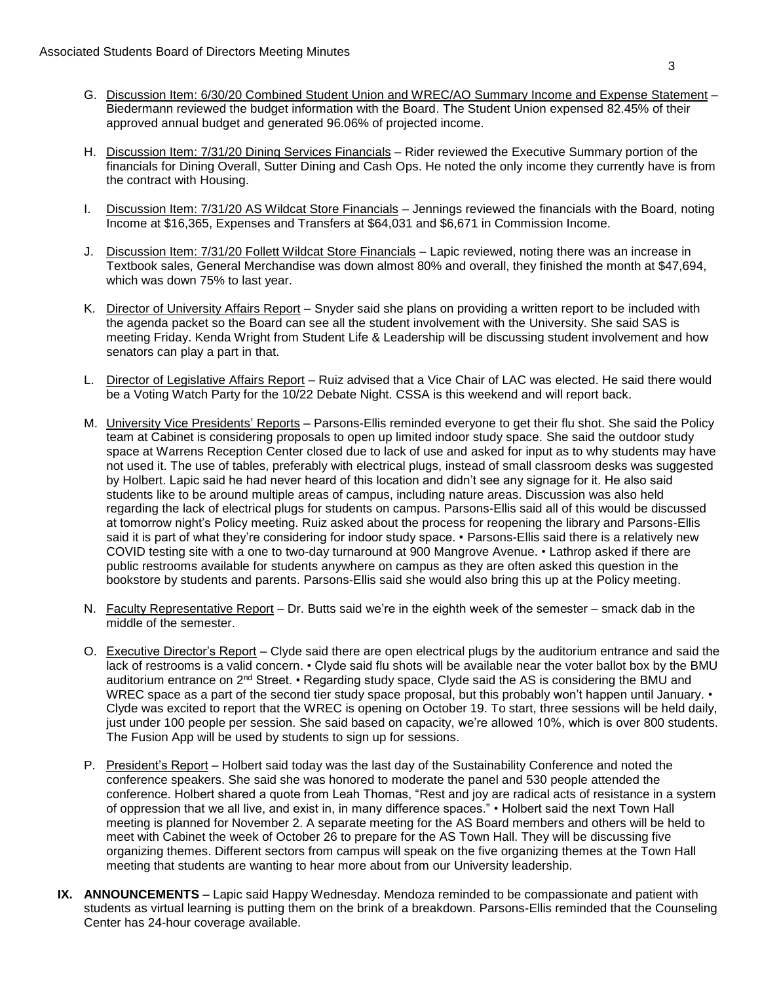- G. Discussion Item: 6/30/20 Combined Student Union and WREC/AO Summary Income and Expense Statement Biedermann reviewed the budget information with the Board. The Student Union expensed 82.45% of their approved annual budget and generated 96.06% of projected income.
- H. Discussion Item: 7/31/20 Dining Services Financials Rider reviewed the Executive Summary portion of the financials for Dining Overall, Sutter Dining and Cash Ops. He noted the only income they currently have is from the contract with Housing.
- I. Discussion Item: 7/31/20 AS Wildcat Store Financials Jennings reviewed the financials with the Board, noting Income at \$16,365, Expenses and Transfers at \$64,031 and \$6,671 in Commission Income.
- J. Discussion Item: 7/31/20 Follett Wildcat Store Financials Lapic reviewed, noting there was an increase in Textbook sales, General Merchandise was down almost 80% and overall, they finished the month at \$47,694, which was down 75% to last year.
- K. Director of University Affairs Report Snyder said she plans on providing a written report to be included with the agenda packet so the Board can see all the student involvement with the University. She said SAS is meeting Friday. Kenda Wright from Student Life & Leadership will be discussing student involvement and how senators can play a part in that.
- L. Director of Legislative Affairs Report Ruiz advised that a Vice Chair of LAC was elected. He said there would be a Voting Watch Party for the 10/22 Debate Night. CSSA is this weekend and will report back.
- M. University Vice Presidents' Reports Parsons-Ellis reminded everyone to get their flu shot. She said the Policy team at Cabinet is considering proposals to open up limited indoor study space. She said the outdoor study space at Warrens Reception Center closed due to lack of use and asked for input as to why students may have not used it. The use of tables, preferably with electrical plugs, instead of small classroom desks was suggested by Holbert. Lapic said he had never heard of this location and didn't see any signage for it. He also said students like to be around multiple areas of campus, including nature areas. Discussion was also held regarding the lack of electrical plugs for students on campus. Parsons-Ellis said all of this would be discussed at tomorrow night's Policy meeting. Ruiz asked about the process for reopening the library and Parsons-Ellis said it is part of what they're considering for indoor study space. • Parsons-Ellis said there is a relatively new COVID testing site with a one to two-day turnaround at 900 Mangrove Avenue. • Lathrop asked if there are public restrooms available for students anywhere on campus as they are often asked this question in the bookstore by students and parents. Parsons-Ellis said she would also bring this up at the Policy meeting.
- N. Faculty Representative Report Dr. Butts said we're in the eighth week of the semester smack dab in the middle of the semester.
- O. Executive Director's Report Clyde said there are open electrical plugs by the auditorium entrance and said the lack of restrooms is a valid concern. • Clyde said flu shots will be available near the voter ballot box by the BMU auditorium entrance on 2nd Street. • Regarding study space, Clyde said the AS is considering the BMU and WREC space as a part of the second tier study space proposal, but this probably won't happen until January. • Clyde was excited to report that the WREC is opening on October 19. To start, three sessions will be held daily, just under 100 people per session. She said based on capacity, we're allowed 10%, which is over 800 students. The Fusion App will be used by students to sign up for sessions.
- P. President's Report Holbert said today was the last day of the Sustainability Conference and noted the conference speakers. She said she was honored to moderate the panel and 530 people attended the conference. Holbert shared a quote from Leah Thomas, "Rest and joy are radical acts of resistance in a system of oppression that we all live, and exist in, in many difference spaces." • Holbert said the next Town Hall meeting is planned for November 2. A separate meeting for the AS Board members and others will be held to meet with Cabinet the week of October 26 to prepare for the AS Town Hall. They will be discussing five organizing themes. Different sectors from campus will speak on the five organizing themes at the Town Hall meeting that students are wanting to hear more about from our University leadership.
- **IX. ANNOUNCEMENTS** Lapic said Happy Wednesday. Mendoza reminded to be compassionate and patient with students as virtual learning is putting them on the brink of a breakdown. Parsons-Ellis reminded that the Counseling Center has 24-hour coverage available.